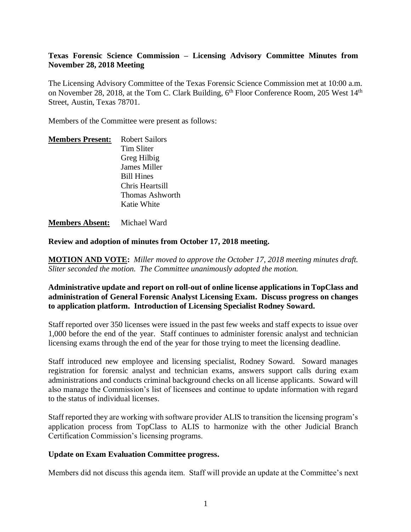# **Texas Forensic Science Commission – Licensing Advisory Committee Minutes from November 28, 2018 Meeting**

The Licensing Advisory Committee of the Texas Forensic Science Commission met at 10:00 a.m. on November 28, 2018, at the Tom C. Clark Building, 6<sup>th</sup> Floor Conference Room, 205 West 14<sup>th</sup> Street, Austin, Texas 78701.

Members of the Committee were present as follows:

| <b>Members Present:</b> | <b>Robert Sailors</b> |
|-------------------------|-----------------------|
|                         | Tim Sliter            |
|                         | Greg Hilbig           |
|                         | <b>James Miller</b>   |
|                         | <b>Bill Hines</b>     |
|                         | Chris Heartsill       |
|                         | Thomas Ashworth       |
|                         | Katie White           |

**Members Absent:** Michael Ward

**Review and adoption of minutes from October 17, 2018 meeting.**

**MOTION AND VOTE:** *Miller moved to approve the October 17, 2018 meeting minutes draft. Sliter seconded the motion. The Committee unanimously adopted the motion.*

# **Administrative update and report on roll-out of online license applications in TopClass and administration of General Forensic Analyst Licensing Exam. Discuss progress on changes to application platform. Introduction of Licensing Specialist Rodney Soward.**

Staff reported over 350 licenses were issued in the past few weeks and staff expects to issue over 1,000 before the end of the year. Staff continues to administer forensic analyst and technician licensing exams through the end of the year for those trying to meet the licensing deadline.

Staff introduced new employee and licensing specialist, Rodney Soward. Soward manages registration for forensic analyst and technician exams, answers support calls during exam administrations and conducts criminal background checks on all license applicants. Soward will also manage the Commission's list of licensees and continue to update information with regard to the status of individual licenses.

Staff reported they are working with software provider ALIS to transition the licensing program's application process from TopClass to ALIS to harmonize with the other Judicial Branch Certification Commission's licensing programs.

#### **Update on Exam Evaluation Committee progress.**

Members did not discuss this agenda item. Staff will provide an update at the Committee's next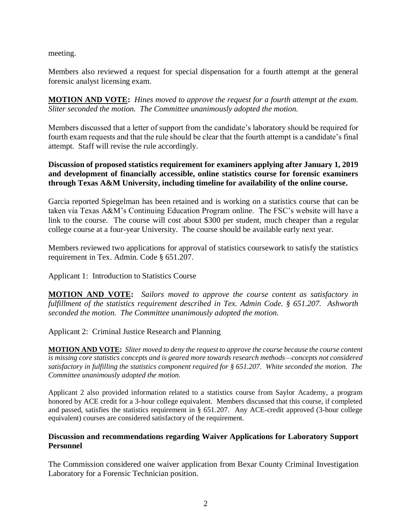meeting.

Members also reviewed a request for special dispensation for a fourth attempt at the general forensic analyst licensing exam.

**MOTION AND VOTE:** *Hines moved to approve the request for a fourth attempt at the exam. Sliter seconded the motion. The Committee unanimously adopted the motion.* 

Members discussed that a letter of support from the candidate's laboratory should be required for fourth exam requests and that the rule should be clear that the fourth attempt is a candidate's final attempt. Staff will revise the rule accordingly.

**Discussion of proposed statistics requirement for examiners applying after January 1, 2019 and development of financially accessible, online statistics course for forensic examiners through Texas A&M University, including timeline for availability of the online course.** 

Garcia reported Spiegelman has been retained and is working on a statistics course that can be taken via Texas A&M's Continuing Education Program online. The FSC's website will have a link to the course. The course will cost about \$300 per student, much cheaper than a regular college course at a four-year University. The course should be available early next year.

Members reviewed two applications for approval of statistics coursework to satisfy the statistics requirement in Tex. Admin. Code § 651.207.

Applicant 1: Introduction to Statistics Course

**MOTION AND VOTE:** *Sailors moved to approve the course content as satisfactory in fulfillment of the statistics requirement described in Tex. Admin Code. § 651.207. Ashworth seconded the motion. The Committee unanimously adopted the motion.*

Applicant 2: Criminal Justice Research and Planning

**MOTION AND VOTE:** *Sliter moved to deny the request to approve the course because the course content is missing core statistics concepts and is geared more towards research methods—concepts not considered satisfactory in fulfilling the statistics component required for § 651.207. White seconded the motion. The Committee unanimously adopted the motion.*

Applicant 2 also provided information related to a statistics course from Saylor Academy, a program honored by ACE credit for a 3-hour college equivalent. Members discussed that this course, if completed and passed, satisfies the statistics requirement in § 651.207. Any ACE-credit approved (3-hour college equivalent) courses are considered satisfactory of the requirement.

# **Discussion and recommendations regarding Waiver Applications for Laboratory Support Personnel**

The Commission considered one waiver application from Bexar County Criminal Investigation Laboratory for a Forensic Technician position.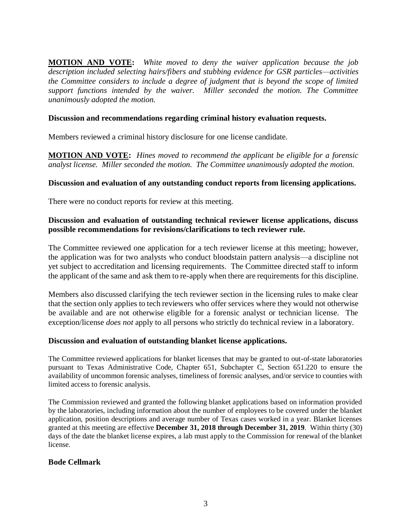**MOTION AND VOTE:** *White moved to deny the waiver application because the job description included selecting hairs/fibers and stubbing evidence for GSR particles—activities the Committee considers to include a degree of judgment that is beyond the scope of limited support functions intended by the waiver. Miller seconded the motion. The Committee unanimously adopted the motion.* 

#### **Discussion and recommendations regarding criminal history evaluation requests.**

Members reviewed a criminal history disclosure for one license candidate.

**MOTION AND VOTE:** *Hines moved to recommend the applicant be eligible for a forensic analyst license. Miller seconded the motion. The Committee unanimously adopted the motion.*

#### **Discussion and evaluation of any outstanding conduct reports from licensing applications.**

There were no conduct reports for review at this meeting.

### **Discussion and evaluation of outstanding technical reviewer license applications, discuss possible recommendations for revisions/clarifications to tech reviewer rule.**

The Committee reviewed one application for a tech reviewer license at this meeting; however, the application was for two analysts who conduct bloodstain pattern analysis—a discipline not yet subject to accreditation and licensing requirements. The Committee directed staff to inform the applicant of the same and ask them to re-apply when there are requirements for this discipline.

Members also discussed clarifying the tech reviewer section in the licensing rules to make clear that the section only applies to tech reviewers who offer services where they would not otherwise be available and are not otherwise eligible for a forensic analyst or technician license. The exception/license *does not* apply to all persons who strictly do technical review in a laboratory.

#### **Discussion and evaluation of outstanding blanket license applications.**

The Committee reviewed applications for blanket licenses that may be granted to out-of-state laboratories pursuant to Texas Administrative Code, Chapter 651, Subchapter C, Section 651.220 to ensure the availability of uncommon forensic analyses, timeliness of forensic analyses, and/or service to counties with limited access to forensic analysis.

The Commission reviewed and granted the following blanket applications based on information provided by the laboratories, including information about the number of employees to be covered under the blanket application, position descriptions and average number of Texas cases worked in a year. Blanket licenses granted at this meeting are effective **December 31, 2018 through December 31, 2019**. Within thirty (30) days of the date the blanket license expires, a lab must apply to the Commission for renewal of the blanket license.

#### **Bode Cellmark**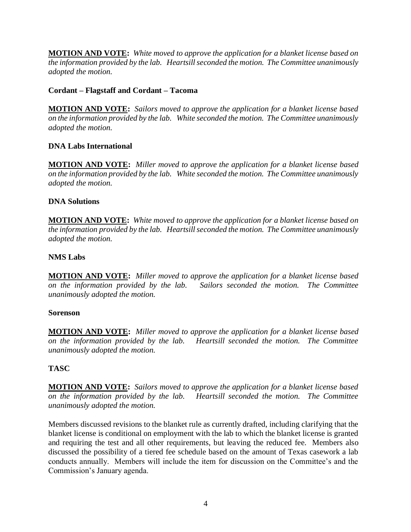**MOTION AND VOTE:** *White moved to approve the application for a blanket license based on the information provided by the lab. Heartsill seconded the motion. The Committee unanimously adopted the motion.* 

# **Cordant – Flagstaff and Cordant – Tacoma**

**MOTION AND VOTE:** *Sailors moved to approve the application for a blanket license based on the information provided by the lab. White seconded the motion. The Committee unanimously adopted the motion.* 

# **DNA Labs International**

**MOTION AND VOTE:** *Miller moved to approve the application for a blanket license based on the information provided by the lab. White seconded the motion. The Committee unanimously adopted the motion.* 

#### **DNA Solutions**

**MOTION AND VOTE:** *White moved to approve the application for a blanket license based on the information provided by the lab. Heartsill seconded the motion. The Committee unanimously adopted the motion.* 

# **NMS Labs**

**MOTION AND VOTE:** *Miller moved to approve the application for a blanket license based on the information provided by the lab. Sailors seconded the motion. The Committee unanimously adopted the motion.* 

#### **Sorenson**

**MOTION AND VOTE:** *Miller moved to approve the application for a blanket license based on the information provided by the lab. Heartsill seconded the motion. The Committee unanimously adopted the motion.* 

# **TASC**

**MOTION AND VOTE:** *Sailors moved to approve the application for a blanket license based on the information provided by the lab. Heartsill seconded the motion. The Committee unanimously adopted the motion.* 

Members discussed revisions to the blanket rule as currently drafted, including clarifying that the blanket license is conditional on employment with the lab to which the blanket license is granted and requiring the test and all other requirements, but leaving the reduced fee. Members also discussed the possibility of a tiered fee schedule based on the amount of Texas casework a lab conducts annually. Members will include the item for discussion on the Committee's and the Commission's January agenda.